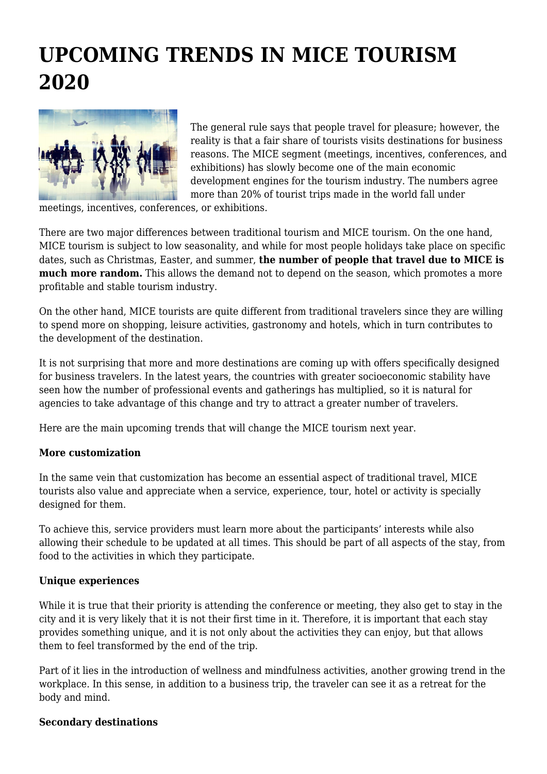## **UPCOMING TRENDS IN MICE TOURISM 2020**



The general rule says that people travel for pleasure; however, the reality is that a fair share of tourists visits destinations for business reasons. The MICE segment (meetings, incentives, conferences, and exhibitions) has slowly become one of the main economic development engines for the tourism industry. The numbers agree more than 20% of tourist trips made in the world fall under

meetings, incentives, conferences, or exhibitions.

There are two major differences between traditional tourism and MICE tourism. On the one hand, MICE tourism is subject to low seasonality, and while for most people holidays take place on specific dates, such as Christmas, Easter, and summer, **the number of people that travel due to MICE is much more random.** This allows the demand not to depend on the season, which promotes a more profitable and stable tourism industry.

On the other hand, MICE tourists are quite different from traditional travelers since they are willing to spend more on shopping, leisure activities, gastronomy and hotels, which in turn contributes to the development of the destination.

It is not surprising that more and more destinations are coming up with offers specifically designed for business travelers. In the latest years, the countries with greater socioeconomic stability have seen how the number of professional events and gatherings has multiplied, so it is natural for agencies to take advantage of this change and try to attract a greater number of travelers.

Here are the main upcoming trends that will change the MICE tourism next year.

## **More customization**

In the same vein that customization has become an essential aspect of traditional travel, MICE tourists also value and appreciate when a service, experience, tour, hotel or activity is specially designed for them.

To achieve this, service providers must learn more about the participants' interests while also allowing their schedule to be updated at all times. This should be part of all aspects of the stay, from food to the activities in which they participate.

## **Unique experiences**

While it is true that their priority is attending the conference or meeting, they also get to stay in the city and it is very likely that it is not their first time in it. Therefore, it is important that each stay provides something unique, and it is not only about the activities they can enjoy, but that allows them to feel transformed by the end of the trip.

Part of it lies in the introduction of wellness and mindfulness activities, another growing trend in the workplace. In this sense, in addition to a business trip, the traveler can see it as a retreat for the body and mind.

## **Secondary destinations**